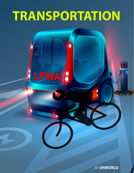# TRANSPORTATION

 $[2]$ 

LPWA B

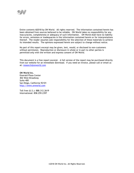

Entire contents **©**2018 by ON World. All rights reserved. The information contained herein has been obtained from sources believed to be reliable. ON World takes no responsibility for any inaccuracies, completeness or adequacy of such information. ON World shall have no liability for errors, omissions or inadequacies in the information contained herein or for interpretations thereof. The reader assumes sole responsibility for the selection of these materials to achieve its intended results. The opinions expressed herein are subject to change without notice.

No part of this report excerpt may be given, lent, resold, or disclosed to non-customers without permission. Reproduction or disclosure in whole or in part to other parties is permitted only with the written and express consent of ON World.

This document is a free report excerpt. A full version of the report may be purchased directly from our website for an immediate download. If you need an invoice, please call or email us at: [research@onworld.com](mailto:research@onworld.com)

**ON World Inc.**  Emerald Plaza Center 402 West Broadway Suite 400 San Diego, California 92101 [http://www.onworld.com](http://www.onworld.com/)

Toll free (U.S.): 888.312.2619 International: 858.259.2397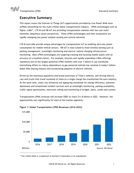Transportation LPWA Executive Summary

## **Executive Summary**

This report covers the Internet of Things (IoT) opportunities provided by Low Power Wide Area (LPWA) networking for the multi-trillion-dollar transportation industry. LPWA technologies such as Sigfox, LoRa®<sup>1</sup>, LTE-M and NB-IoT are providing transportation markets with low cost multikilometer ubiquitous cloud connectivity. These LPWA technologies and their ecosystems are rapidly reshaping low power outdoor sensing and control networks.

LTE-M and LoRa provide unique advantages for transportation IoT by enabling ultra-low power consumption for mobile vehicle sensors. NB-IoT is most suited to fixed wireless sensing such as parking management, streetlight monitoring and electric vehicle charging infrastructure monitoring. Most LPWA technologies are targeting tracking and locating mobile assets with an accuracy of a hundred meters. For example, bicycles and rapidly expanding e-Bike offerings represents one of the largest potential LPWA markets with over 1 billion in use worldwide. Intensifying efforts to reduce dependence on gas-powered vehicles has resulted in today's billiondollar bike sharing industry and accelerating adoption of electric vehicles.

Driven by the enormous popularity and brand awareness of Tesla's vehicles, self-driving electric cars and trucks that travel hundreds of miles on a single charge has transformed the auto industry. At the same time, smart city initiatives are appearing worldwide for energy efficiency, pollution abatement and streamlined resident services such as streetlight monitoring, parking availability, traffic signal optimization, electronic tolling and monitoring of bridges, dams, canals and tunnels.

Transportation LPWA revenues will increase 550% to reach \$11.8 billion in 2022. However, the opportunities vary significantly for each of the market segments.



#### **Figure 1: Global Transportation LPWA Revenues (2016-2022)**

 $1$  The LoRa® Mark is a trademark of Semtech Corporation or its subsidiaries.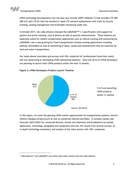

LPWA technology developments over the past year include 3GPP's Release 13 that includes LTE-NB1 (NB-IoT) and LTE-M1 that has resulted in rapid LTE network deployments with trials for bicycle tracking, parking management and streetlight monitoring under way.

In October 2017, the LoRa Alliance released the LoRaWAN<sup>TM2</sup> 1.1 specification with support for passive and active roaming, class B devices as well as security enhancements. These features are especially suited for mobile transportation applications such as vehicle tracking and monitoring but LoRaWAN's use is also growing for fixed transportation wireless sensing applications including parking, streetlights as well as monitoring of dams, canals and embankments that are essential for land and water transportation.

Our latest phone interviews and surveys with 250+ industrial IoT professionals found that nearly half are researching or developing LPWA networking solutions. Sixty-one (61%) of LPWA developers are planning to launch their LPWA products within the next 12 months.



#### **Figure 2: LPWA Developers Product Launch Timeline**

In this report, we cover the growing LPWA market opportunities for transportation systems, electric vehicle charging infrastructure as well as connected vehicles and bikes. It includes market size forecasts (2016-2022) for connected devices, annual unit shipments and breakdowns by market, application, technology, geography and equipment/services; the results from several surveys; an in-depth technology evaluation; and analysis of the value system with 100+ companies.

<sup>&</sup>lt;sup>2</sup> LoRa Alliance™ and LoRaWAN™ are marks used under license from the LoRa Alliance.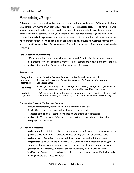Transportation LPWA Methodology

## **Methodology/Scope**

This report covers the global market opportunity for Low Power Wide Area (LPWA) technologies for transportation including smart city applications as well as connected cars, electric vehicle charging infrastructure and bicycle tracking. In addition, we include the total addressable market for connected wireless sensing, tracking and control devices for each market segment (LPWA and others). Our methodology uses extensive primary research with hundreds of individuals across the whole transportation IoT value chain, an in-depth technology evaluation, weighted market drivers and a competitive analysis of 100+ companies. The major components of our research include the following:

#### **Data Collection/Investigation:**

- 250+ surveys/phone interviews with transportation IoT professionals, network operators, IoT platform providers, equipment manufacturers, component suppliers and other experts.
- Analysis of hundreds of financial, industry and technical reports.

#### **Segmentation**:

| Geographies:   | North America, Western Europe, Asia Pacific and Rest of World                                                                                         |
|----------------|-------------------------------------------------------------------------------------------------------------------------------------------------------|
| <b>Markets</b> | Transportation systems, Connected Vehicles, EV Charging Infrastructure,                                                                               |
| segments:      | <b>Connected Bikes</b>                                                                                                                                |
| Solutions:     | Streetlight monitoring, traffic management, parking management, geotechnical<br>monitoring, asset tracking/monitoring and other condition monitoring. |
| Product        | LPWA equipment (End nodes, repeaters, gateways and associated software) and                                                                           |
| segments:      | services (installation, maintenance, connectivity and value-added services)                                                                           |

#### **Competitive Forces & Technology Dynamics**:

- Product segmentation, value chain and business model analysis
- Distribution channels, product availability and vendor strength
- Standards developments, technology adoption and emerging technologies
- Analysis of 100+ companies (offerings, pricing, partners, financials and potential for disruption/sustainability)

#### **Market Size Forecasts:**

- **Market data:** Recent data is collected from vendors, suppliers and end users on unit sales, growth trends, applications, hardware/service pricing, distribution channels, etc.
- **Market drivers:** Analysis of the weighted driver impact for each solution/market.
- **Projections**: Using all the above, we create data models from a moderate and aggressive viewpoint. Breakdowns are provided by target market, application, product segment, geography and technology. Revenues are for equipment, RF modules and services.
- **Verification:** Forecasts are benchmarked with secondary sources and verified with market leading vendors and industry experts.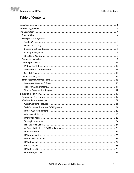

## **Table of Contents**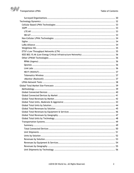

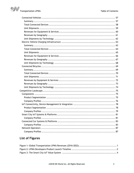

## **List of Figures**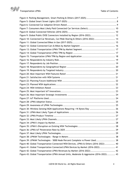



| Figure 7: Consumers Most Likely Paid Connected Car Services (Select)  10                 |  |
|------------------------------------------------------------------------------------------|--|
|                                                                                          |  |
| Figure 9: Global Public EVSE Connectors Installed by Region (2016-2022) 12               |  |
| Figure 10: Connected Car Revenues, Car/Ride Sharing & Others (2016-2022)  14             |  |
|                                                                                          |  |
|                                                                                          |  |
|                                                                                          |  |
|                                                                                          |  |
|                                                                                          |  |
|                                                                                          |  |
|                                                                                          |  |
|                                                                                          |  |
|                                                                                          |  |
|                                                                                          |  |
|                                                                                          |  |
|                                                                                          |  |
|                                                                                          |  |
|                                                                                          |  |
|                                                                                          |  |
|                                                                                          |  |
|                                                                                          |  |
|                                                                                          |  |
|                                                                                          |  |
| Figure 30: Wireless Sensing/M2M Applications Requiring >1K Bytes/Day  26                 |  |
|                                                                                          |  |
|                                                                                          |  |
|                                                                                          |  |
|                                                                                          |  |
|                                                                                          |  |
|                                                                                          |  |
|                                                                                          |  |
|                                                                                          |  |
| Figure 39: LPWAN Technologies - 5000 Node Percent Complete vs Power Used 38              |  |
| Figure 40: Global Transportation Connected WSN Devices, LPWA & Others (2016-2022)  40    |  |
| Figure 41: Global Transportation Connected LPWA Devices by Market (2016-2022)  41        |  |
| Figure 42: Global Transportation LPWA Revenues by Market (2016-2022) 42                  |  |
| Figure 43: Global Transportation LPWA Annual Units, Moderate & Aggressive (2016-2022) 43 |  |
|                                                                                          |  |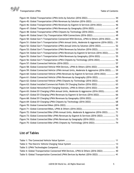

Figure 44: Global Transportation LPWA Units by Solution (2016-2022)................................... 44 Figure 45: Global Transportation LPWA Revenues by Solution (2016-2022) ............................. 45 Figure 46: Global Transportation LPWA Revenues by Eqpmnt & Services (2016-2022) ................ 46 Figure 47: Global Transportation LPWA Revenues by Geography (2016-2022) .......................... 47 Figure 48: Global Transportation LPWA Chipsets by Technology (2016-2022)........................... 48 Figure 49: Global Smart City Transportation WSN Connections (2016-2022) ............................ 49 Figure 50: Global Gov't Transportation Connected WSN Devices, LPWA & Others (2016-2022) ..... 50 Figure 51: Global Gov't Transportation LPWA Annual Units, Moderate & Aggressive (2016-2022) .. 51 Figure 52: Global Gov't Transportation LPWA Annual Units by Solution (2016-2022).................. 52 Figure 53: Global Gov't Transportation LPWA Revenues by Solution (2016-2022)........................ 53 Figure 54: Global Gov't Transportation LPWA Revenues by Eqpmnt & Services (2016-2022)......... 54 Figure 55: Global Gov't Transportation LPWA Revenues by Geography (2016-2022) .................. 55 Figure 56: Global Gov't Transportation LPWA Chipsets by Technology (2016-2022)................... 56 Figure 57: Global Connected Vehicles (2016-2022) .......................................................... 57 Figure 58: Global Connected Vehicle WSN Devices, LPWA & Others (2016-2022) ...................... 58 Figure 59: Global Connected Vehicle LPWA Annual Units, Moderate & Aggressive (2016-2022) ..... 59 Figure 60: Global Connected Vehicle LPWA Revenues by Eqpmnt & Services (2016-2022) ........... 60 Figure 61: Global Connected Vehicle LPWA Revenues by Geography (2016-2022) ..................... 61 Figure 62: Global Connected Vehicle LPWA Chipsets by Technology (2016-2022)...................... 62 Figure 63: Global Installed Commercial/Public EV Charging Station (2016-2022) ...................... 63 Figure 64: Global Networked EV Charging Stations, LPWA & Others (2016-2022) ...................... 64 Figure 65: Global EV Charging LPWA Annual Units, Moderate & Aggressive (2016-2022)............... 65 Figure 67: Global EV Charging LPWA Revenues by Eqpmnt & Services (2016-2022).................... 66 Figure 68: Global EV Charging LPWA Revenues by Geography (2016-2022).............................. 67 Figure 69: Global EV Charging LPWA Chipsets by Technology (2016-2022) .............................. 68 Figure 70: Global Connected Bikes (2016-2022) .............................................................. 69 Figure 71: Global Connected Bikes, LPWA & Others (2016-2022).......................................... 70 Figure 72: Global Connected Bike LPWA Annual Units, Moderate & Aggressive (2016-2022)......... 71 Figure 73: Global Connected Bike LPWA Revenues by Eqpmnt & Services (2016-2022) ............... 72 Figure 74: Global Connected Bike LPWA Revenues by Geography (2016-2022) ......................... 73 Figure 75: Global Connected Bike LPWA Chipsets by Technology (2016-2022).......................... 74

### **List of Tables**

| Table 4: Global Transportation Connected WSN Devices, LPWA & Others (2016-2022)  40 |  |
|-------------------------------------------------------------------------------------|--|
| Table 5: Global Transportation Connected LPWA Devices by Market (2016-2022)  41     |  |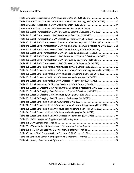

Table 6: Global Transportation LPWA Revenues by Market (2016-2022) ................................. 42 Table 7: Global Transportation LPWA Annual Units, Moderate & Aggressive (2016-2022) ............ 43 Table 8: Global Transportation LPWA Units by Solution (2016-2022)..................................... 44 Table 9: Global Transportation LPWA Revenues by Solution (2016-2022)................................ 45 Table 10: Global Transportation LPWA Revenues by Eqpmnt & Services (2016-2022)................. 46 Table 11: Global Transportation LPWA Revenues by Geography (2016-2022)........................... 47 Table 12: Global Transportation LPWA Chipsets by Technology (2016-2022) ........................... 48 Table 13: Global Gov't Transportation Connected WSN Devices, LPWA & Others (2016-2022) ...... 50 Table 14: Global Gov't Transportation LPWA Annual Units, Moderate & Aggressive (2016-2022) ... 51 Table 15: Global Gov't Transportation LPWA Annual Units by Solution (2016-2022)................... 52 Table 16: Global Gov't Transportation LPWA Revenues by Solution (2016-2022) ...................... 53 Table 17: Global Gov't Transportation LPWA Revenues by Eqpmnt & Services (2016-2022) ......... 54 Table 18: Global Gov't Transportation LPWA Revenues by Geography (2016-2022) ................... 55 Table 19: Global Gov't Transportation LPWA Chipsets by Technology (2016-2022).................... 56 Table 20: Global Connected Vehicle WSN Devices, LPWA & Others (2016-2022) ....................... 58 Table 21: Global Connected Vehicle LPWA Annual Units, Moderate & Aggressive (2016-2022)...... 59 Table 22: Global Connected Vehicle LPWA Revenues by Eqpmnt & Services (2016-2022) ............ 60 Table 23: Global Connected Vehicle LPWA Revenues by Geography (2016-2022) ...................... 61 Table 24: Global Connected Vehicle LPWA Chipsets by Technology (2016-2022)....................... 62 Table 25: Global Networked EV Charging Stations, LPWA & Others (2016-2022)....................... 64 Table 26: Global EV Charging LPWA Annual Units, Moderate & Aggressive (2016-2022) .............. 65 Table 28: Global EV Charging LPWA Revenues by Eqpmnt & Services (2016-2022)........................ 66 Table 29: Global EV Charging LPWA Revenues by Geography (2016-2022)................................. 67 Table 30: Global EV Charging LPWA Chipsets by Technology (2016-2022) ............................... 68 Table 31: Global Connected Bikes, LPWA & Others (2016-2022) .......................................... 70 Table 32: Global Connected Bike LPWA Annual Units, Moderate & Aggressive (2016-2022).......... 71 Table 33: Global Connected Bike LPWA Revenues by Eqpmnt & Services (2016-2022) ................ 72 Table 34: Global Connected Bike LPWA Revenues by Geography (2016-2022) .......................... 73 Table 35: Global Connected Bike LPWA Chipsets by Technology (2016-2022) .......................... 74 Table 36: LPWAN Component Suppliers by Product Segment .............................................. 75 Table 37: LPWA Components – Profiles ......................................................................... 76 Table 38: IoT Connectivity & Device Mgmt Platforms by Product Segment.............................. 78 Table 39: IoT/LPWA Connectivity & Device Mgmt Platforms – Profiles ................................... 79 Table 40: Smart City/ Transportation IoT Systems & Platforms - Profiles .................................. 81 Table 41: Connected Car/EV Charging Systems & Platforms – Profiles ................................... 83 Table 42: (Select) LPWA Network Operators .................................................................. 87